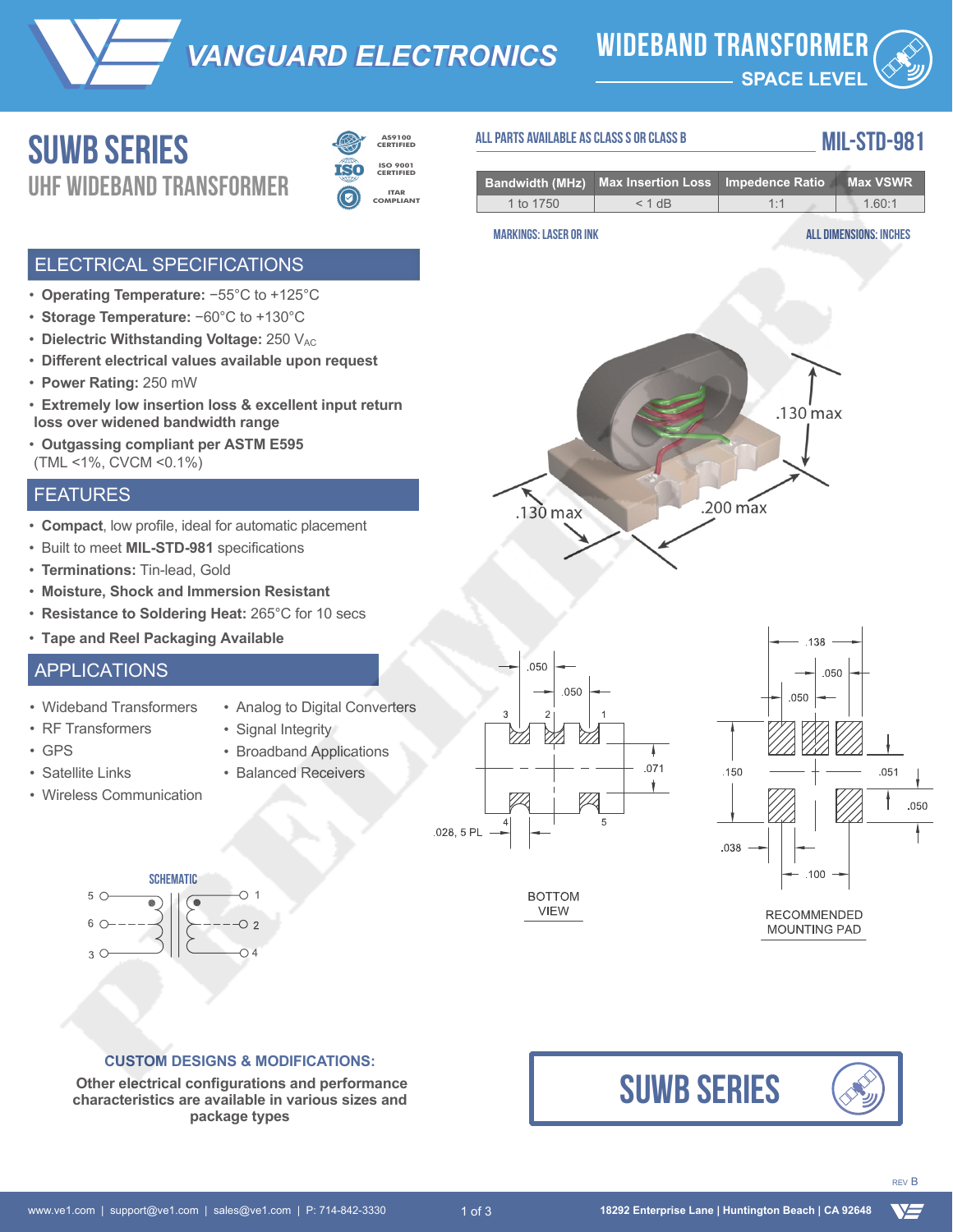*VANGUARD ELECTRONICS VANGUARD ELECTRONICS* **wideband transformer**

**SPACE LEVEL**

## Suwb **Series** UHF **wideband TRANSFORMER**



**ITAR COMPLIANT ISO 9001 CERTIFIED**

## **MIL-STD-981 all parts available as class s or class b**

|           | <b>Bandwidth (MHz)</b> Max Insertion Loss Impedence Ratio Max VSWR |         |       |
|-----------|--------------------------------------------------------------------|---------|-------|
| 1 to 1750 | $< 1$ dB                                                           | $1 - 1$ | 160.1 |

#### ELECTRICAL SPECIFICATIONS

- **Operating Temperature:** −55°C to +125°C
- **Storage Temperature:** −60°C to +130°C
- Dielectric Withstanding Voltage: 250 V<sub>AC</sub>
- **Different electrical values available upon request**
- **Power Rating:** 250 mW
- **Extremely low insertion loss & excellent input return loss over widened bandwidth range**
- **Outgassing compliant per ASTM E595** (TML <1%, CVCM <0.1%)

#### FEATURES

- **Compact**, low profile, ideal for automatic placement
- Built to meet **MIL-STD-981** specifications
- **Terminations:** Tin-lead, Gold
- **Moisture, Shock and Immersion Resistant**
- **Resistance to Soldering Heat:** 265°C for 10 secs
- **Tape and Reel Packaging Available**

### APPLICATIONS

- Wideband Transformers
- Analog to Digital Converters • Signal Integrity

• Broadband Applications • Balanced Receivers

- GPS
- Satellite Links

• RF Transformers

• Wireless Communication



#### **CUSTOM DESIGNS & MODIFICATIONS:**

 **Other electrical configurations and performance characteristics are available in various sizes and package types**







# VS

# **BOTTOM**

**VIEW** 



 $.130 \,\mathrm{max}$ 

.050



138

# **MARKINGS: LASER OR INK all dimensions: inches**

 $.130$  max

 $.200 \,\mathrm{max}$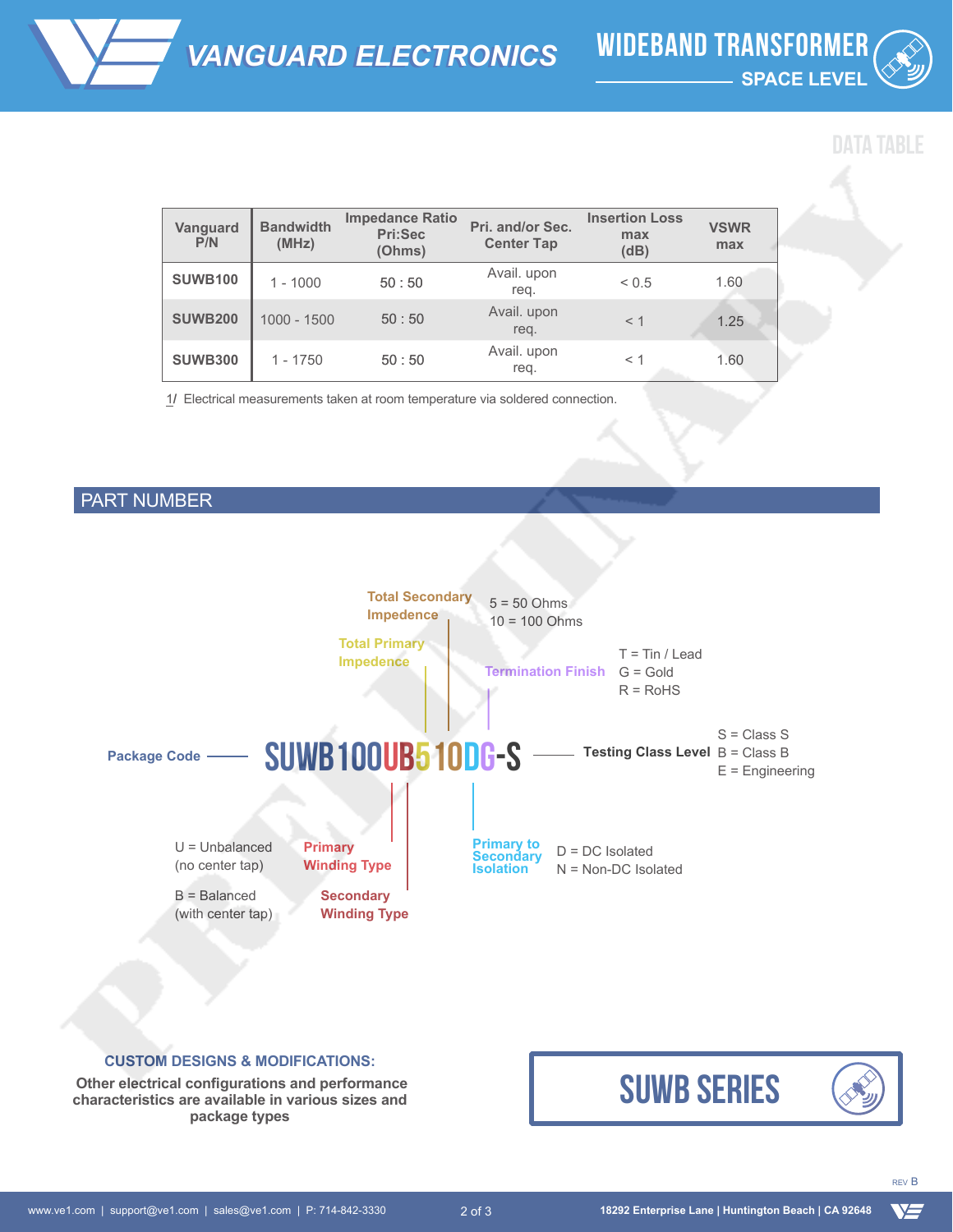

| Vanguard<br>P/N | <b>Bandwidth</b><br>(MHz) | <b>Impedance Ratio</b><br>Pri:Sec<br>(Ohms) | Pri. and/or Sec.<br><b>Center Tap</b> | <b>Insertion Loss</b><br>max<br>(dB) | <b>VSWR</b><br>max |
|-----------------|---------------------------|---------------------------------------------|---------------------------------------|--------------------------------------|--------------------|
| <b>SUWB100</b>  | $1 - 1000$                | 50:50                                       | Avail. upon<br>reg.                   | ${}_{0.5}$                           | 1.60               |
| <b>SUWB200</b>  | $1000 - 1500$             | 50:50                                       | Avail. upon<br>req.                   | $<$ 1                                | 1.25               |
| <b>SUWB300</b>  | $1 - 1750$                | 50:50                                       | Avail. upon<br>reg.                   | $\leq 1$                             | 1.60               |

1**/** Electrical measurements taken at room temperature via soldered connection.

### PART NUMBER



#### **CUSTOM DESIGNS & MODIFICATIONS:**

 **Other electrical configurations and performance characteristics are available in various sizes and package types**